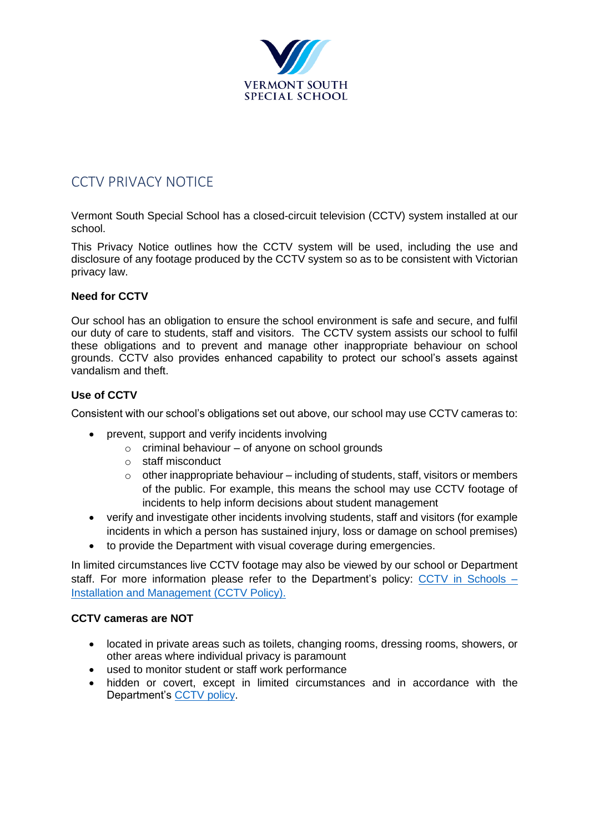

# CCTV PRIVACY NOTICE

Vermont South Special School has a closed-circuit television (CCTV) system installed at our school.

This Privacy Notice outlines how the CCTV system will be used, including the use and disclosure of any footage produced by the CCTV system so as to be consistent with Victorian privacy law.

### **Need for CCTV**

Our school has an obligation to ensure the school environment is safe and secure, and fulfil our duty of care to students, staff and visitors. The CCTV system assists our school to fulfil these obligations and to prevent and manage other inappropriate behaviour on school grounds. CCTV also provides enhanced capability to protect our school's assets against vandalism and theft.

### **Use of CCTV**

Consistent with our school's obligations set out above, our school may use CCTV cameras to:

- prevent, support and verify incidents involving
	- $\circ$  criminal behaviour of anyone on school grounds
	- o staff misconduct
	- $\circ$  other inappropriate behaviour including of students, staff, visitors or members of the public. For example, this means the school may use CCTV footage of incidents to help inform decisions about student management
- verify and investigate other incidents involving students, staff and visitors (for example incidents in which a person has sustained injury, loss or damage on school premises)
- to provide the Department with visual coverage during emergencies.

In limited circumstances live CCTV footage may also be viewed by our school or Department staff. For more information please refer to the Department's policy: [CCTV in Schools –](https://www2.education.vic.gov.au/pal/cctv-in-schools/policy) [Installation and Management](https://www2.education.vic.gov.au/pal/cctv-in-schools/policy) (CCTV Policy).

### **CCTV cameras are NOT**

- located in private areas such as toilets, changing rooms, dressing rooms, showers, or other areas where individual privacy is paramount
- used to monitor student or staff work performance
- hidden or covert, except in limited circumstances and in accordance with the Department's [CCTV policy.](https://www2.education.vic.gov.au/pal/cctv-in-schools/policy)